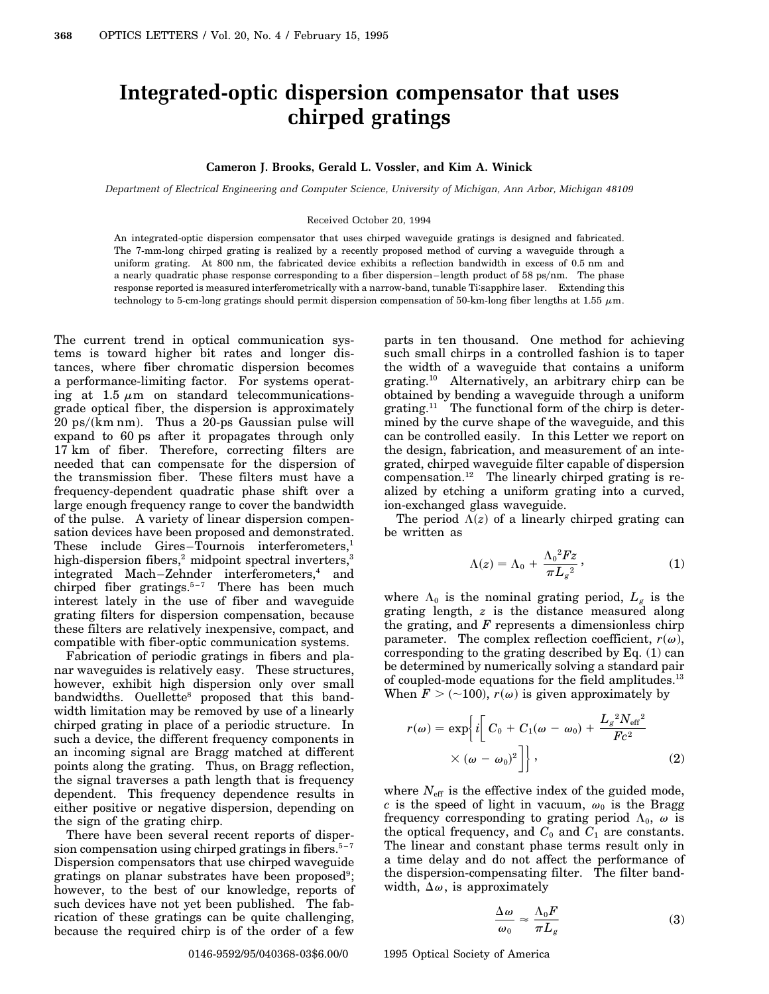## **Integrated-optic dispersion compensator that uses chirped gratings**

## **Cameron J. Brooks, Gerald L. Vossler, and Kim A. Winick**

*Department of Electrical Engineering and Computer Science, University of Michigan, Ann Arbor, Michigan 48109*

## Received October 20, 1994

An integrated-optic dispersion compensator that uses chirped waveguide gratings is designed and fabricated. The 7-mm-long chirped grating is realized by a recently proposed method of curving a waveguide through a uniform grating. At 800 nm, the fabricated device exhibits a reflection bandwidth in excess of 0.5 nm and a nearly quadratic phase response corresponding to a fiber dispersion–length product of 58 ps/nm. The phase response reported is measured interferometrically with a narrow-band, tunable Ti:sapphire laser. Extending this technology to 5-cm-long gratings should permit dispersion compensation of 50-km-long fiber lengths at 1.55  $\mu$ m.

The current trend in optical communication systems is toward higher bit rates and longer distances, where fiber chromatic dispersion becomes a performance-limiting factor. For systems operating at 1.5  $\mu$ m on standard telecommunicationsgrade optical fiber, the dispersion is approximately  $20$  ps/(km nm). Thus a 20-ps Gaussian pulse will expand to 60 ps after it propagates through only 17 km of fiber. Therefore, correcting filters are needed that can compensate for the dispersion of the transmission fiber. These filters must have a frequency-dependent quadratic phase shift over a large enough frequency range to cover the bandwidth of the pulse. A variety of linear dispersion compensation devices have been proposed and demonstrated. These include Gires–Tournois interferometers, $<sup>1</sup>$ </sup> high-dispersion fibers,<sup>2</sup> midpoint spectral inverters,<sup>3</sup> integrated Mach–Zehnder interferometers,<sup>4</sup> and chirped fiber gratings. $5-7$  There has been much interest lately in the use of fiber and waveguide grating filters for dispersion compensation, because these filters are relatively inexpensive, compact, and compatible with fiber-optic communication systems.

Fabrication of periodic gratings in fibers and planar waveguides is relatively easy. These structures, however, exhibit high dispersion only over small bandwidths. Ouellette<sup>8</sup> proposed that this bandwidth limitation may be removed by use of a linearly chirped grating in place of a periodic structure. In such a device, the different frequency components in an incoming signal are Bragg matched at different points along the grating. Thus, on Bragg reflection, the signal traverses a path length that is frequency dependent. This frequency dependence results in either positive or negative dispersion, depending on the sign of the grating chirp.

There have been several recent reports of dispersion compensation using chirped gratings in fibers. $5-7$ Dispersion compensators that use chirped waveguide gratings on planar substrates have been proposed<sup>9</sup>; however, to the best of our knowledge, reports of such devices have not yet been published. The fabrication of these gratings can be quite challenging, because the required chirp is of the order of a few parts in ten thousand. One method for achieving such small chirps in a controlled fashion is to taper the width of a waveguide that contains a uniform grating.10 Alternatively, an arbitrary chirp can be obtained by bending a waveguide through a uniform grating.<sup>11</sup> The functional form of the chirp is determined by the curve shape of the waveguide, and this can be controlled easily. In this Letter we report on the design, fabrication, and measurement of an integrated, chirped waveguide filter capable of dispersion compensation.12 The linearly chirped grating is realized by etching a uniform grating into a curved, ion-exchanged glass waveguide.

The period  $\Lambda(z)$  of a linearly chirped grating can be written as

$$
\Lambda(z) = \Lambda_0 + \frac{\Lambda_0^2 Fz}{\pi L_g^2},\tag{1}
$$

where  $\Lambda_0$  is the nominal grating period,  $L_g$  is the grating length, *z* is the distance measured along the grating, and *F* represents a dimensionless chirp parameter. The complex reflection coefficient,  $r(\omega)$ , corresponding to the grating described by Eq. (1) can be determined by numerically solving a standard pair of coupled-mode equations for the field amplitudes.<sup>13</sup> When  $F > (-100)$ ,  $r(\omega)$  is given approximately by

$$
r(\omega) = \exp\left\{i\left[C_0 + C_1(\omega - \omega_0) + \frac{L_g^2 N_{\text{eff}}^2}{Fc^2} \times (\omega - \omega_0)^2\right]\right\},\tag{2}
$$

where  $N_{\text{eff}}$  is the effective index of the guided mode, *c* is the speed of light in vacuum,  $\omega_0$  is the Bragg frequency corresponding to grating period  $\Lambda_0$ ,  $\omega$  is the optical frequency, and  $C_0$  and  $C_1$  are constants. The linear and constant phase terms result only in a time delay and do not affect the performance of the dispersion-compensating filter. The filter bandwidth,  $\Delta\omega$ , is approximately

$$
\frac{\Delta \omega}{\omega_0} \approx \frac{\Lambda_0 F}{\pi L_g} \tag{3}
$$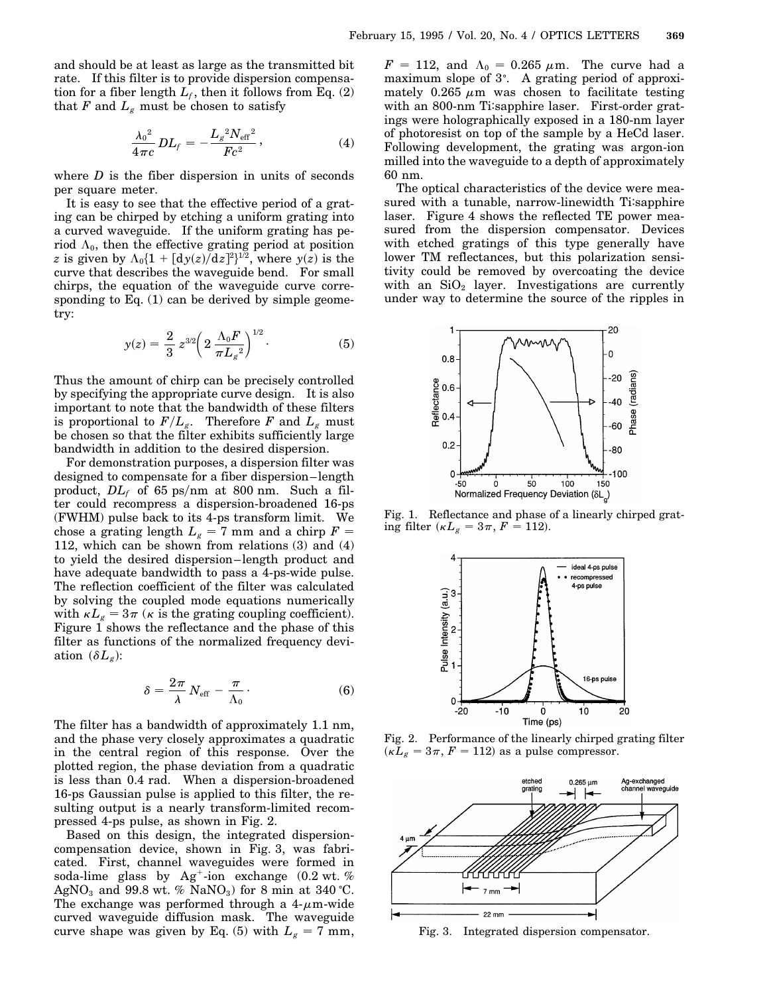and should be at least as large as the transmitted bit rate. If this filter is to provide dispersion compensation for a fiber length  $L_f$ , then it follows from Eq. (2) that  $F$  and  $L_g$  must be chosen to satisfy

$$
\frac{{\lambda_0}^2}{4\pi c}DL_f = -\frac{{L_g}^2N_{\text{eff}}^2}{Fc^2},\qquad (4)
$$

where  $D$  is the fiber dispersion in units of seconds per square meter.

It is easy to see that the effective period of a grating can be chirped by etching a uniform grating into a curved waveguide. If the uniform grating has period  $\Lambda_0$ , then the effective grating period at position *z* is given by  $\Lambda_0\{1 + [dy(z)/dz]^2\}^{1/2}$ , where  $y(z)$  is the curve that describes the waveguide bend. For small chirps, the equation of the waveguide curve corresponding to Eq. (1) can be derived by simple geometry:

$$
y(z) = \frac{2}{3} z^{3/2} \left( 2 \frac{\Lambda_0 F}{\pi L_g{}^2} \right)^{1/2}.
$$
 (5)

Thus the amount of chirp can be precisely controlled by specifying the appropriate curve design. It is also important to note that the bandwidth of these filters is proportional to  $F/L_g$ . Therefore *F* and  $L_g$  must be chosen so that the filter exhibits sufficiently large bandwidth in addition to the desired dispersion.

For demonstration purposes, a dispersion filter was designed to compensate for a fiber dispersion–length product,  $DL_f$  of 65 ps/nm at 800 nm. Such a filter could recompress a dispersion-broadened 16-ps (FWHM) pulse back to its 4-ps transform limit. We chose a grating length  $L_g = 7$  mm and a chirp  $F =$ 112, which can be shown from relations (3) and (4) to yield the desired dispersion–length product and have adequate bandwidth to pass a 4-ps-wide pulse. The reflection coefficient of the filter was calculated by solving the coupled mode equations numerically with  $\kappa L_g = 3\pi$  ( $\kappa$  is the grating coupling coefficient). Figure 1 shows the reflectance and the phase of this filter as functions of the normalized frequency deviation  $(\delta L_g)$ :

$$
\delta = \frac{2\pi}{\lambda} N_{\text{eff}} - \frac{\pi}{\Lambda_0}.
$$
 (6)

The filter has a bandwidth of approximately 1.1 nm, and the phase very closely approximates a quadratic in the central region of this response. Over the plotted region, the phase deviation from a quadratic is less than 0.4 rad. When a dispersion-broadened 16-ps Gaussian pulse is applied to this filter, the resulting output is a nearly transform-limited recompressed 4-ps pulse, as shown in Fig. 2.

Based on this design, the integrated dispersioncompensation device, shown in Fig. 3, was fabricated. First, channel waveguides were formed in soda-lime glass by  $Ag^+$ -ion exchange (0.2 wt. %) AgNO<sub>3</sub> and 99.8 wt. % NaNO<sub>3</sub>) for 8 min at 340 °C. The exchange was performed through a  $4-\mu m$ -wide curved waveguide diffusion mask. The waveguide curve shape was given by Eq. (5) with  $L_g = 7$  mm,

 $F = 112$ , and  $\Lambda_0 = 0.265 \mu$ m. The curve had a maximum slope of 3°. A grating period of approximately 0.265  $\mu$ m was chosen to facilitate testing with an 800-nm Ti:sapphire laser. First-order gratings were holographically exposed in a 180-nm layer of photoresist on top of the sample by a HeCd laser. Following development, the grating was argon-ion milled into the waveguide to a depth of approximately 60 nm.

The optical characteristics of the device were measured with a tunable, narrow-linewidth Ti:sapphire laser. Figure 4 shows the reflected TE power measured from the dispersion compensator. Devices with etched gratings of this type generally have lower TM reflectances, but this polarization sensitivity could be removed by overcoating the device with an  $SiO<sub>2</sub>$  layer. Investigations are currently under way to determine the source of the ripples in



Fig. 1. Reflectance and phase of a linearly chirped grating filter ( $\kappa L_g = 3\pi, F = 112$ ).



Fig. 2. Performance of the linearly chirped grating filter  $(\kappa L_g = 3\pi, F = 112)$  as a pulse compressor.



Fig. 3. Integrated dispersion compensator.